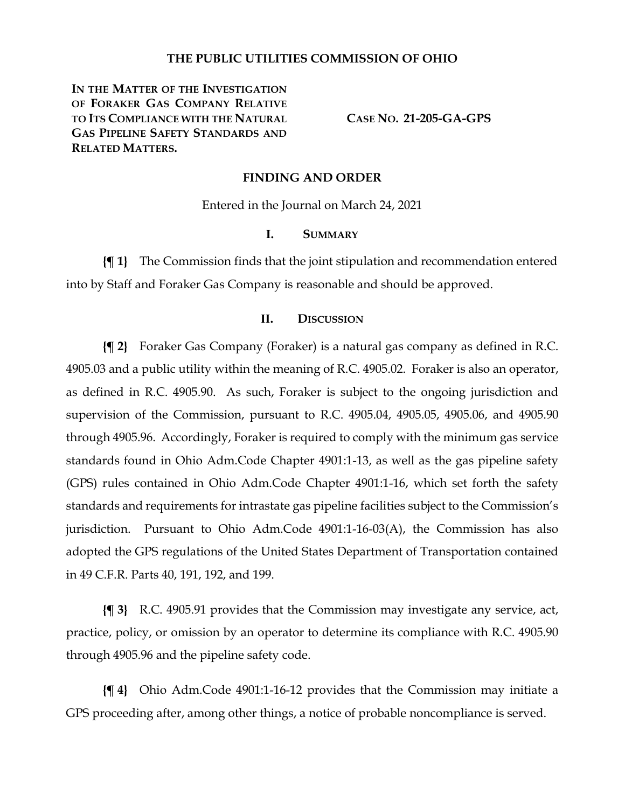# **THE PUBLIC UTILITIES COMMISSION OF OHIO**

IN THE MATTER OF THE INVESTIGATION **OF FORAKER GAS COMPANY RELATIVE TO ITS COMPLIANCE WITH THE NATURAL GAS PIPELINE SAFETY STANDARDS AND RELATED MATTERS.**

**CASE NO. 21-205-GA-GPS**

#### **FINDING AND ORDER**

Entered in the Journal on March 24, 2021

#### **I. SUMMARY**

**{¶ 1}** The Commission finds that the joint stipulation and recommendation entered into by Staff and Foraker Gas Company is reasonable and should be approved.

# **II. DISCUSSION**

**{¶ 2}** Foraker Gas Company (Foraker) is a natural gas company as defined in R.C. 4905.03 and a public utility within the meaning of R.C. 4905.02. Foraker is also an operator, as defined in R.C. 4905.90. As such, Foraker is subject to the ongoing jurisdiction and supervision of the Commission, pursuant to R.C. 4905.04, 4905.05, 4905.06, and 4905.90 through 4905.96. Accordingly, Foraker is required to comply with the minimum gas service standards found in Ohio Adm.Code Chapter 4901:1-13, as well as the gas pipeline safety (GPS) rules contained in Ohio Adm.Code Chapter 4901:1-16, which set forth the safety standards and requirements for intrastate gas pipeline facilities subject to the Commission's jurisdiction. Pursuant to Ohio Adm.Code 4901:1-16-03(A), the Commission has also adopted the GPS regulations of the United States Department of Transportation contained in 49 C.F.R. Parts 40, 191, 192, and 199.

**{¶ 3}** R.C. 4905.91 provides that the Commission may investigate any service, act, practice, policy, or omission by an operator to determine its compliance with R.C. 4905.90 through 4905.96 and the pipeline safety code.

**{¶ 4}** Ohio Adm.Code 4901:1-16-12 provides that the Commission may initiate a GPS proceeding after, among other things, a notice of probable noncompliance is served.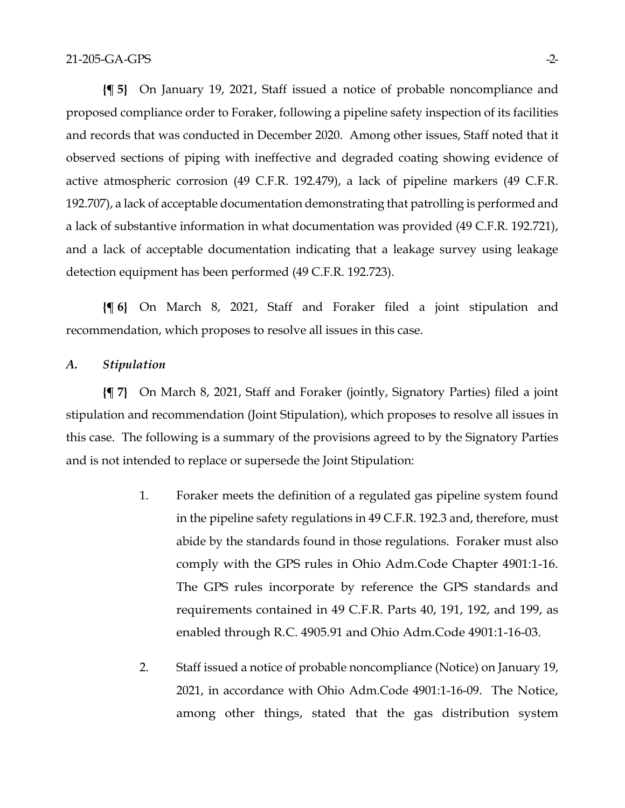**{¶ 5}** On January 19, 2021, Staff issued a notice of probable noncompliance and proposed compliance order to Foraker, following a pipeline safety inspection of its facilities and records that was conducted in December 2020. Among other issues, Staff noted that it observed sections of piping with ineffective and degraded coating showing evidence of active atmospheric corrosion (49 C.F.R. 192.479), a lack of pipeline markers (49 C.F.R. 192.707), a lack of acceptable documentation demonstrating that patrolling is performed and a lack of substantive information in what documentation was provided (49 C.F.R. 192.721), and a lack of acceptable documentation indicating that a leakage survey using leakage detection equipment has been performed (49 C.F.R. 192.723).

**{¶ 6}** On March 8, 2021, Staff and Foraker filed a joint stipulation and recommendation, which proposes to resolve all issues in this case.

# *A. Stipulation*

**{¶ 7}** On March 8, 2021, Staff and Foraker (jointly, Signatory Parties) filed a joint stipulation and recommendation (Joint Stipulation), which proposes to resolve all issues in this case. The following is a summary of the provisions agreed to by the Signatory Parties and is not intended to replace or supersede the Joint Stipulation:

- 1. Foraker meets the definition of a regulated gas pipeline system found in the pipeline safety regulations in 49 C.F.R. 192.3 and, therefore, must abide by the standards found in those regulations. Foraker must also comply with the GPS rules in Ohio Adm.Code Chapter 4901:1-16. The GPS rules incorporate by reference the GPS standards and requirements contained in 49 C.F.R. Parts 40, 191, 192, and 199, as enabled through R.C. 4905.91 and Ohio Adm.Code 4901:1-16-03.
- 2. Staff issued a notice of probable noncompliance (Notice) on January 19, 2021, in accordance with Ohio Adm.Code 4901:1-16-09. The Notice, among other things, stated that the gas distribution system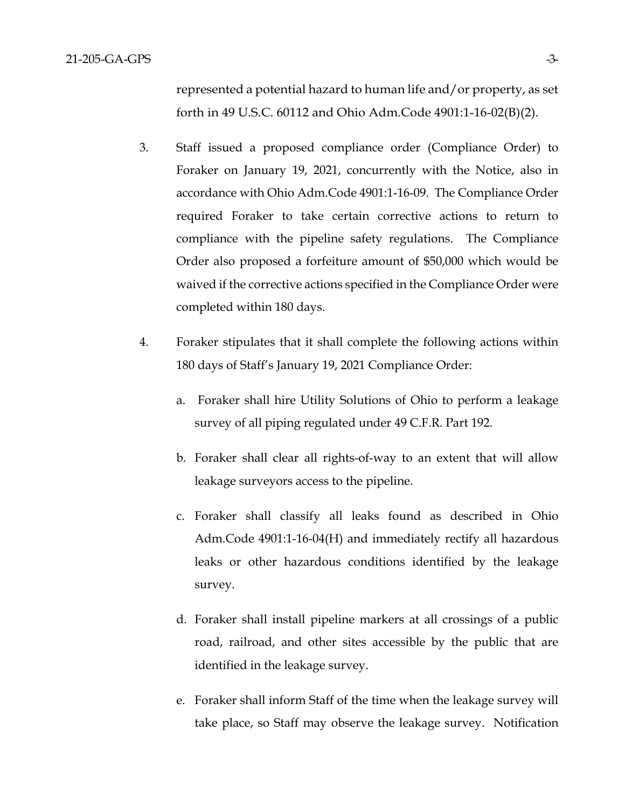represented a potential hazard to human life and/or property, as set forth in 49 U.S.C. 60112 and Ohio Adm.Code 4901:1-16-02(B)(2).

- 3. Staff issued a proposed compliance order (Compliance Order) to Foraker on January 19, 2021, concurrently with the Notice, also in accordance with Ohio Adm.Code 4901:1-16-09. The Compliance Order required Foraker to take certain corrective actions to return to compliance with the pipeline safety regulations. The Compliance Order also proposed a forfeiture amount of \$50,000 which would be waived if the corrective actions specified in the Compliance Order were completed within 180 days.
- 4. Foraker stipulates that it shall complete the following actions within 180 days of Staff's January 19, 2021 Compliance Order:
	- a. Foraker shall hire Utility Solutions of Ohio to perform a leakage survey of all piping regulated under 49 C.F.R. Part 192.
	- b. Foraker shall clear all rights-of-way to an extent that will allow leakage surveyors access to the pipeline.
	- c. Foraker shall classify all leaks found as described in Ohio Adm.Code 4901:1-16-04(H) and immediately rectify all hazardous leaks or other hazardous conditions identified by the leakage survey.
	- d. Foraker shall install pipeline markers at all crossings of a public road, railroad, and other sites accessible by the public that are identified in the leakage survey.
	- e. Foraker shall inform Staff of the time when the leakage survey will take place, so Staff may observe the leakage survey. Notification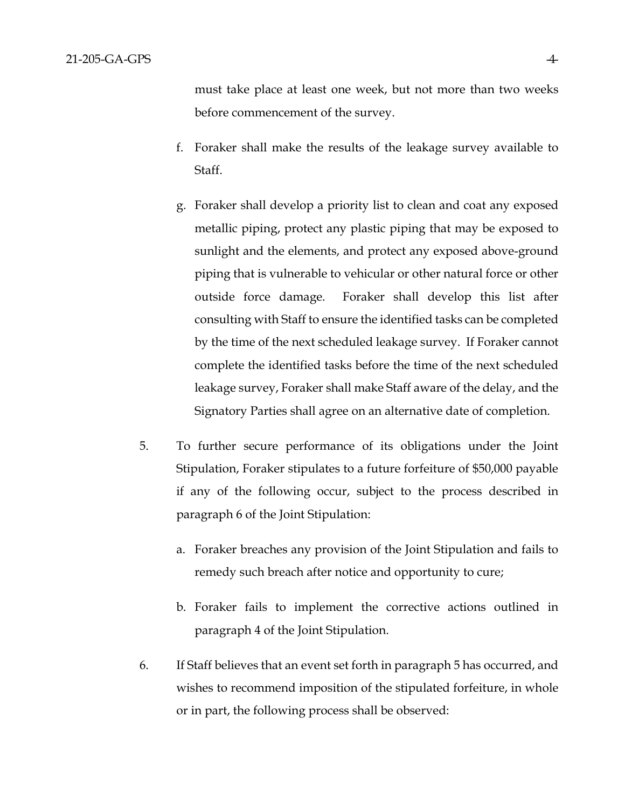must take place at least one week, but not more than two weeks before commencement of the survey.

- f. Foraker shall make the results of the leakage survey available to Staff.
- g. Foraker shall develop a priority list to clean and coat any exposed metallic piping, protect any plastic piping that may be exposed to sunlight and the elements, and protect any exposed above-ground piping that is vulnerable to vehicular or other natural force or other outside force damage. Foraker shall develop this list after consulting with Staff to ensure the identified tasks can be completed by the time of the next scheduled leakage survey. If Foraker cannot complete the identified tasks before the time of the next scheduled leakage survey, Foraker shall make Staff aware of the delay, and the Signatory Parties shall agree on an alternative date of completion.
- 5. To further secure performance of its obligations under the Joint Stipulation, Foraker stipulates to a future forfeiture of \$50,000 payable if any of the following occur, subject to the process described in paragraph 6 of the Joint Stipulation:
	- a. Foraker breaches any provision of the Joint Stipulation and fails to remedy such breach after notice and opportunity to cure;
	- b. Foraker fails to implement the corrective actions outlined in paragraph 4 of the Joint Stipulation.
- 6. If Staff believes that an event set forth in paragraph 5 has occurred, and wishes to recommend imposition of the stipulated forfeiture, in whole or in part, the following process shall be observed: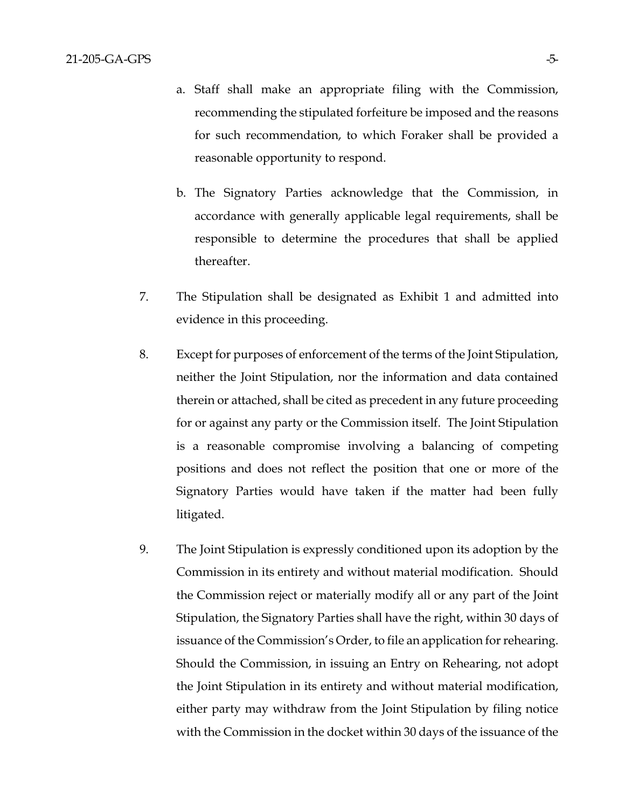- a. Staff shall make an appropriate filing with the Commission, recommending the stipulated forfeiture be imposed and the reasons for such recommendation, to which Foraker shall be provided a reasonable opportunity to respond.
- b. The Signatory Parties acknowledge that the Commission, in accordance with generally applicable legal requirements, shall be responsible to determine the procedures that shall be applied thereafter.
- 7. The Stipulation shall be designated as Exhibit 1 and admitted into evidence in this proceeding.
- 8. Except for purposes of enforcement of the terms of the Joint Stipulation, neither the Joint Stipulation, nor the information and data contained therein or attached, shall be cited as precedent in any future proceeding for or against any party or the Commission itself. The Joint Stipulation is a reasonable compromise involving a balancing of competing positions and does not reflect the position that one or more of the Signatory Parties would have taken if the matter had been fully litigated.
- 9. The Joint Stipulation is expressly conditioned upon its adoption by the Commission in its entirety and without material modification. Should the Commission reject or materially modify all or any part of the Joint Stipulation, the Signatory Parties shall have the right, within 30 days of issuance of the Commission's Order, to file an application for rehearing. Should the Commission, in issuing an Entry on Rehearing, not adopt the Joint Stipulation in its entirety and without material modification, either party may withdraw from the Joint Stipulation by filing notice with the Commission in the docket within 30 days of the issuance of the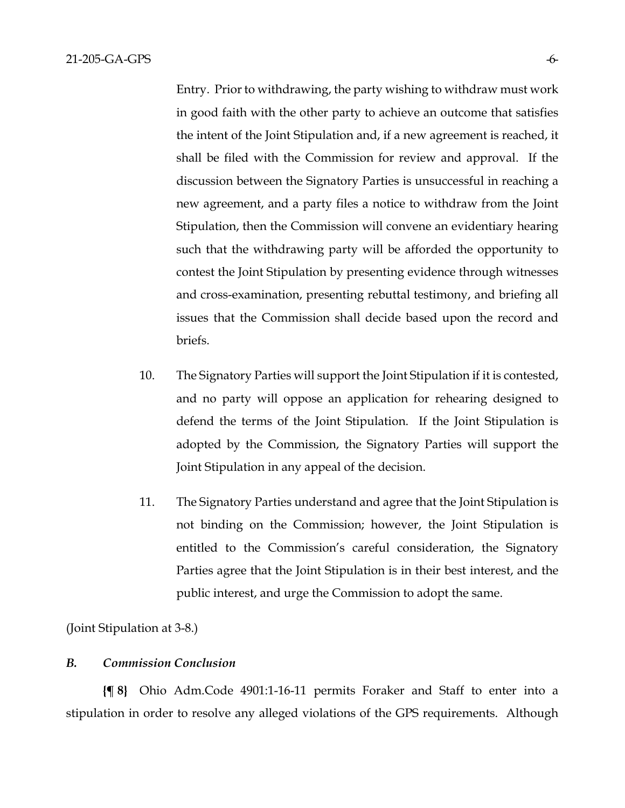Entry. Prior to withdrawing, the party wishing to withdraw must work in good faith with the other party to achieve an outcome that satisfies the intent of the Joint Stipulation and, if a new agreement is reached, it shall be filed with the Commission for review and approval. If the discussion between the Signatory Parties is unsuccessful in reaching a new agreement, and a party files a notice to withdraw from the Joint Stipulation, then the Commission will convene an evidentiary hearing such that the withdrawing party will be afforded the opportunity to contest the Joint Stipulation by presenting evidence through witnesses and cross-examination, presenting rebuttal testimony, and briefing all issues that the Commission shall decide based upon the record and briefs.

- 10. The Signatory Parties will support the Joint Stipulation if it is contested, and no party will oppose an application for rehearing designed to defend the terms of the Joint Stipulation. If the Joint Stipulation is adopted by the Commission, the Signatory Parties will support the Joint Stipulation in any appeal of the decision.
- 11. The Signatory Parties understand and agree that the Joint Stipulation is not binding on the Commission; however, the Joint Stipulation is entitled to the Commission's careful consideration, the Signatory Parties agree that the Joint Stipulation is in their best interest, and the public interest, and urge the Commission to adopt the same.

(Joint Stipulation at 3-8.)

## *B. Commission Conclusion*

**{¶ 8}** Ohio Adm.Code 4901:1-16-11 permits Foraker and Staff to enter into a stipulation in order to resolve any alleged violations of the GPS requirements. Although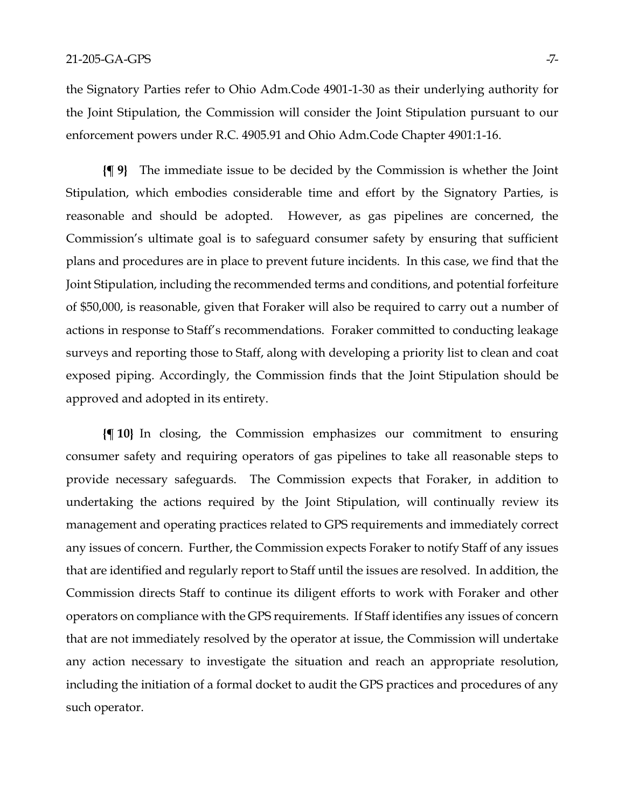the Signatory Parties refer to Ohio Adm.Code 4901-1-30 as their underlying authority for the Joint Stipulation, the Commission will consider the Joint Stipulation pursuant to our enforcement powers under R.C. 4905.91 and Ohio Adm.Code Chapter 4901:1-16.

**{¶ 9}** The immediate issue to be decided by the Commission is whether the Joint Stipulation, which embodies considerable time and effort by the Signatory Parties, is reasonable and should be adopted. However, as gas pipelines are concerned, the Commission's ultimate goal is to safeguard consumer safety by ensuring that sufficient plans and procedures are in place to prevent future incidents. In this case, we find that the Joint Stipulation, including the recommended terms and conditions, and potential forfeiture of \$50,000, is reasonable, given that Foraker will also be required to carry out a number of actions in response to Staff's recommendations. Foraker committed to conducting leakage surveys and reporting those to Staff, along with developing a priority list to clean and coat exposed piping. Accordingly, the Commission finds that the Joint Stipulation should be approved and adopted in its entirety.

**{¶ 10}** In closing, the Commission emphasizes our commitment to ensuring consumer safety and requiring operators of gas pipelines to take all reasonable steps to provide necessary safeguards. The Commission expects that Foraker, in addition to undertaking the actions required by the Joint Stipulation, will continually review its management and operating practices related to GPS requirements and immediately correct any issues of concern. Further, the Commission expects Foraker to notify Staff of any issues that are identified and regularly report to Staff until the issues are resolved. In addition, the Commission directs Staff to continue its diligent efforts to work with Foraker and other operators on compliance with the GPS requirements. If Staff identifies any issues of concern that are not immediately resolved by the operator at issue, the Commission will undertake any action necessary to investigate the situation and reach an appropriate resolution, including the initiation of a formal docket to audit the GPS practices and procedures of any such operator.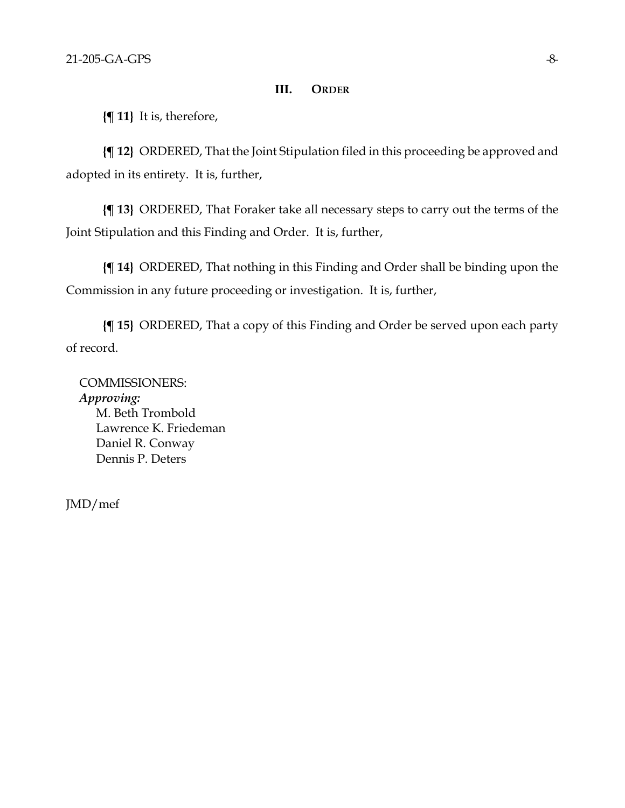## **III. ORDER**

**{¶ 11}** It is, therefore,

**{¶ 12}** ORDERED, That the Joint Stipulation filed in this proceeding be approved and adopted in its entirety. It is, further,

**{¶ 13}** ORDERED, That Foraker take all necessary steps to carry out the terms of the Joint Stipulation and this Finding and Order. It is, further,

**{¶ 14}** ORDERED, That nothing in this Finding and Order shall be binding upon the Commission in any future proceeding or investigation. It is, further,

**{¶ 15}** ORDERED, That a copy of this Finding and Order be served upon each party of record.

COMMISSIONERS: *Approving:*  M. Beth Trombold Lawrence K. Friedeman Daniel R. Conway Dennis P. Deters

JMD/mef